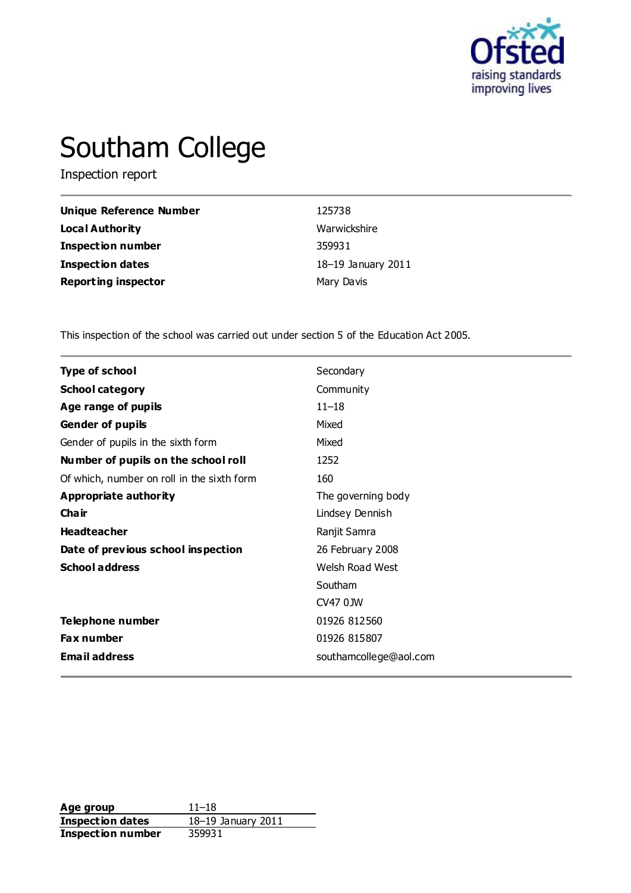

# Southam College

Inspection report

| Unique Reference Number    | 125738             |
|----------------------------|--------------------|
| Local Authority            | Warwickshire       |
| <b>Inspection number</b>   | 359931             |
| <b>Inspection dates</b>    | 18-19 January 2011 |
| <b>Reporting inspector</b> | Mary Davis         |

This inspection of the school was carried out under section 5 of the Education Act 2005.

| <b>Type of school</b>                      | Secondary              |
|--------------------------------------------|------------------------|
| <b>School category</b>                     | Community              |
| Age range of pupils                        | $11 - 18$              |
| <b>Gender of pupils</b>                    | Mixed                  |
| Gender of pupils in the sixth form         | Mixed                  |
| Number of pupils on the school roll        | 1252                   |
| Of which, number on roll in the sixth form | 160                    |
| <b>Appropriate authority</b>               | The governing body     |
| Cha ir                                     | Lindsey Dennish        |
| <b>Headteacher</b>                         | Ranjit Samra           |
| Date of previous school inspection         | 26 February 2008       |
| <b>School address</b>                      | Welsh Road West        |
|                                            | Southam                |
|                                            | CV47 0JW               |
| Telephone number                           | 01926 812560           |
| <b>Fax number</b>                          | 01926 815807           |
| <b>Email address</b>                       | southamcollege@aol.com |

**Age group** 11–18<br> **Inspection dates** 18–19 January 2011 **Inspection dates Inspection number** 359931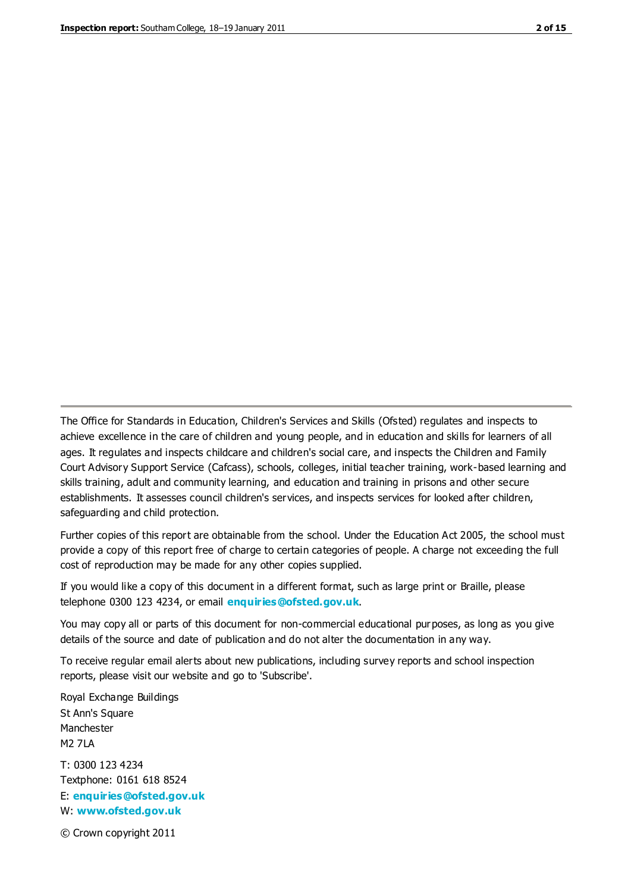The Office for Standards in Education, Children's Services and Skills (Ofsted) regulates and inspects to achieve excellence in the care of children and young people, and in education and skills for learners of all ages. It regulates and inspects childcare and children's social care, and inspects the Children and Family Court Advisory Support Service (Cafcass), schools, colleges, initial teacher training, work-based learning and skills training, adult and community learning, and education and training in prisons and other secure establishments. It assesses council children's services, and inspects services for looked after children, safeguarding and child protection.

Further copies of this report are obtainable from the school. Under the Education Act 2005, the school must provide a copy of this report free of charge to certain categories of people. A charge not exceeding the full cost of reproduction may be made for any other copies supplied.

If you would like a copy of this document in a different format, such as large print or Braille, please telephone 0300 123 4234, or email **[enquiries@ofsted.gov.uk](mailto:enquiries@ofsted.gov.uk)**.

You may copy all or parts of this document for non-commercial educational purposes, as long as you give details of the source and date of publication and do not alter the documentation in any way.

To receive regular email alerts about new publications, including survey reports and school inspection reports, please visit our website and go to 'Subscribe'.

Royal Exchange Buildings St Ann's Square Manchester M2 7LA T: 0300 123 4234 Textphone: 0161 618 8524 E: **[enquiries@ofsted.gov.uk](mailto:enquiries@ofsted.gov.uk)**

W: **[www.ofsted.gov.uk](http://www.ofsted.gov.uk/)**

© Crown copyright 2011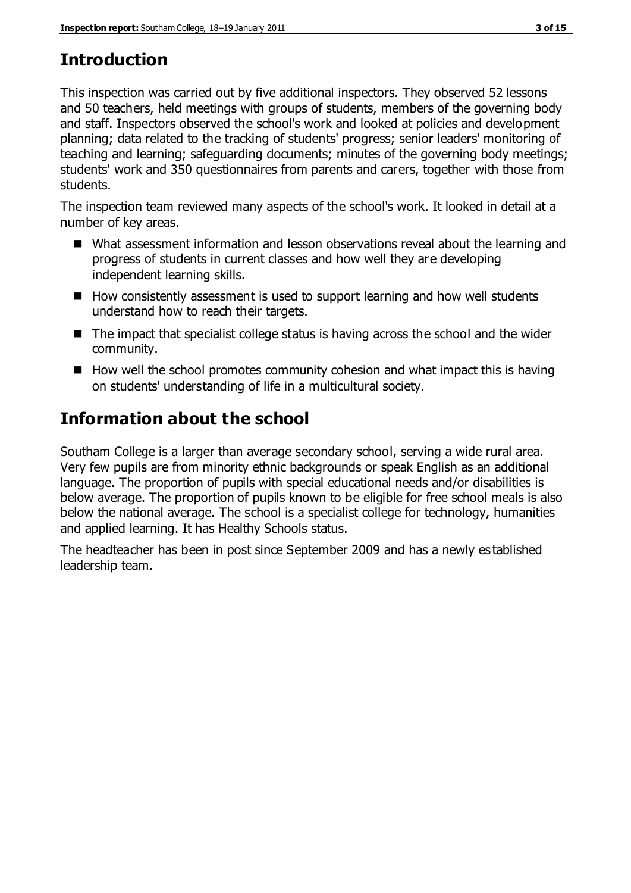## **Introduction**

This inspection was carried out by five additional inspectors. They observed 52 lessons and 50 teachers, held meetings with groups of students, members of the governing body and staff. Inspectors observed the school's work and looked at policies and development planning; data related to the tracking of students' progress; senior leaders' monitoring of teaching and learning; safeguarding documents; minutes of the governing body meetings; students' work and 350 questionnaires from parents and carers, together with those from students.

The inspection team reviewed many aspects of the school's work. It looked in detail at a number of key areas.

- What assessment information and lesson observations reveal about the learning and progress of students in current classes and how well they are developing independent learning skills.
- How consistently assessment is used to support learning and how well students understand how to reach their targets.
- $\blacksquare$  The impact that specialist college status is having across the school and the wider community.
- $\blacksquare$  How well the school promotes community cohesion and what impact this is having on students' understanding of life in a multicultural society.

## **Information about the school**

Southam College is a larger than average secondary school, serving a wide rural area. Very few pupils are from minority ethnic backgrounds or speak English as an additional language. The proportion of pupils with special educational needs and/or disabilities is below average. The proportion of pupils known to be eligible for free school meals is also below the national average. The school is a specialist college for technology, humanities and applied learning. It has Healthy Schools status.

The headteacher has been in post since September 2009 and has a newly es tablished leadership team.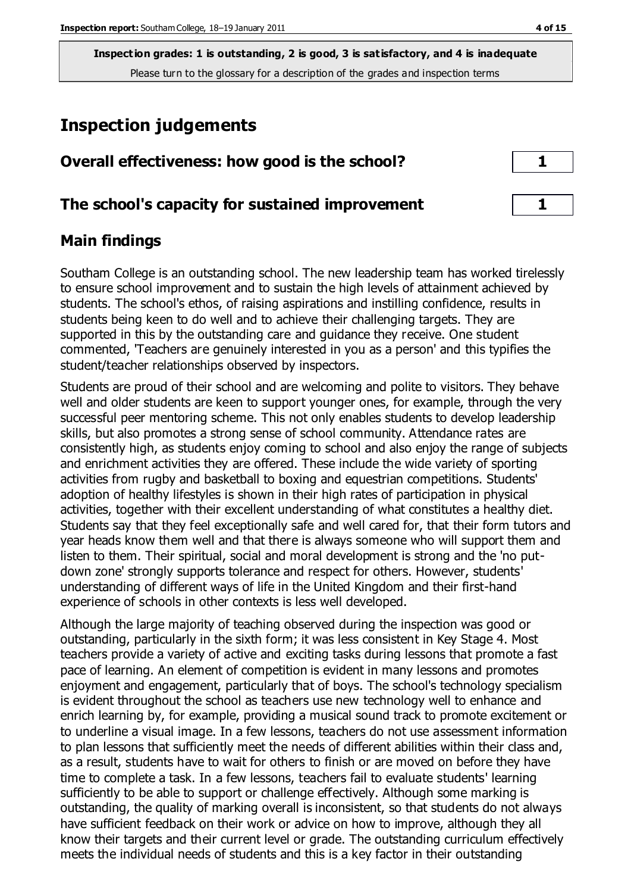## **Inspection judgements**

| Overall effectiveness: how good is the school?  |  |
|-------------------------------------------------|--|
| The school's capacity for sustained improvement |  |

### **Main findings**

Southam College is an outstanding school. The new leadership team has worked tirelessly to ensure school improvement and to sustain the high levels of attainment achieved by students. The school's ethos, of raising aspirations and instilling confidence, results in students being keen to do well and to achieve their challenging targets. They are supported in this by the outstanding care and guidance they receive. One student commented, 'Teachers are genuinely interested in you as a person' and this typifies the student/teacher relationships observed by inspectors.

Students are proud of their school and are welcoming and polite to visitors. They behave well and older students are keen to support younger ones, for example, through the very successful peer mentoring scheme. This not only enables students to develop leadership skills, but also promotes a strong sense of school community. Attendance rates are consistently high, as students enjoy coming to school and also enjoy the range of subjects and enrichment activities they are offered. These include the wide variety of sporting activities from rugby and basketball to boxing and equestrian competitions. Students' adoption of healthy lifestyles is shown in their high rates of participation in physical activities, together with their excellent understanding of what constitutes a healthy diet. Students say that they feel exceptionally safe and well cared for, that their form tutors and year heads know them well and that there is always someone who will support them and listen to them. Their spiritual, social and moral development is strong and the 'no putdown zone' strongly supports tolerance and respect for others. However, students' understanding of different ways of life in the United Kingdom and their first-hand experience of schools in other contexts is less well developed.

Although the large majority of teaching observed during the inspection was good or outstanding, particularly in the sixth form; it was less consistent in Key Stage 4. Most teachers provide a variety of active and exciting tasks during lessons that promote a fast pace of learning. An element of competition is evident in many lessons and promotes enjoyment and engagement, particularly that of boys. The school's technology specialism is evident throughout the school as teachers use new technology well to enhance and enrich learning by, for example, providing a musical sound track to promote excitement or to underline a visual image. In a few lessons, teachers do not use assessment information to plan lessons that sufficiently meet the needs of different abilities within their class and, as a result, students have to wait for others to finish or are moved on before they have time to complete a task. In a few lessons, teachers fail to evaluate students' learning sufficiently to be able to support or challenge effectively. Although some marking is outstanding, the quality of marking overall is inconsistent, so that students do not always have sufficient feedback on their work or advice on how to improve, although they all know their targets and their current level or grade. The outstanding curriculum effectively meets the individual needs of students and this is a key factor in their outstanding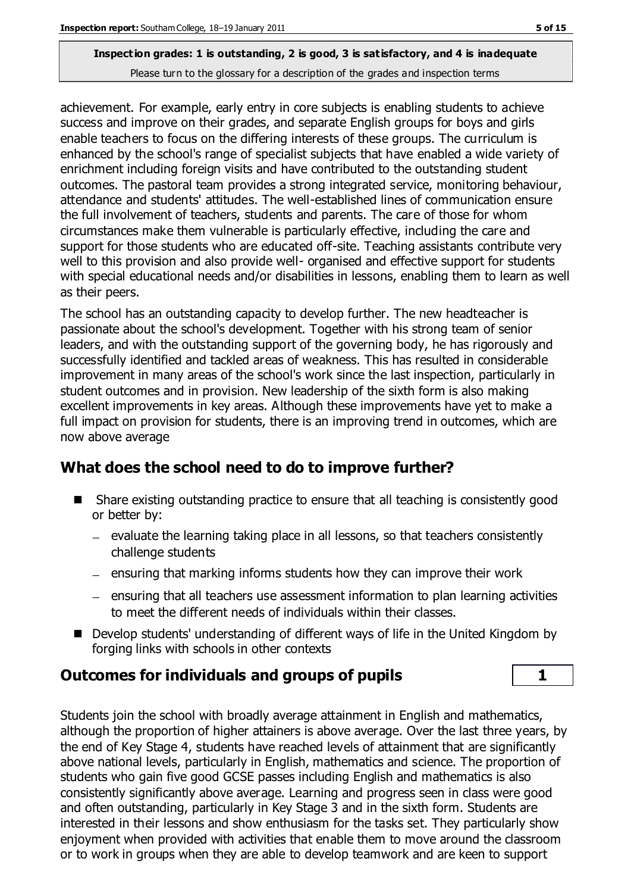achievement. For example, early entry in core subjects is enabling students to achieve success and improve on their grades, and separate English groups for boys and girls enable teachers to focus on the differing interests of these groups. The curriculum is enhanced by the school's range of specialist subjects that have enabled a wide variety of enrichment including foreign visits and have contributed to the outstanding student outcomes. The pastoral team provides a strong integrated service, monitoring behaviour, attendance and students' attitudes. The well-established lines of communication ensure the full involvement of teachers, students and parents. The care of those for whom circumstances make them vulnerable is particularly effective, including the care and support for those students who are educated off-site. Teaching assistants contribute very well to this provision and also provide well- organised and effective support for students with special educational needs and/or disabilities in lessons, enabling them to learn as well as their peers.

The school has an outstanding capacity to develop further. The new headteacher is passionate about the school's development. Together with his strong team of senior leaders, and with the outstanding support of the governing body, he has rigorously and successfully identified and tackled areas of weakness. This has resulted in considerable improvement in many areas of the school's work since the last inspection, particularly in student outcomes and in provision. New leadership of the sixth form is also making excellent improvements in key areas. Although these improvements have yet to make a full impact on provision for students, there is an improving trend in outcomes, which are now above average

## **What does the school need to do to improve further?**

- Share existing outstanding practice to ensure that all teaching is consistently good or better by:
	- evaluate the learning taking place in all lessons, so that teachers consistently challenge students
	- $-$  ensuring that marking informs students how they can improve their work
	- ensuring that all teachers use assessment information to plan learning activities to meet the different needs of individuals within their classes.
- Develop students' understanding of different ways of life in the United Kingdom by forging links with schools in other contexts

## **Outcomes for individuals and groups of pupils 1**

Students join the school with broadly average attainment in English and mathematics, although the proportion of higher attainers is above average. Over the last three years, by the end of Key Stage 4, students have reached levels of attainment that are significantly above national levels, particularly in English, mathematics and science. The proportion of students who gain five good GCSE passes including English and mathematics is also consistently significantly above average. Learning and progress seen in class were good and often outstanding, particularly in Key Stage 3 and in the sixth form. Students are interested in their lessons and show enthusiasm for the tasks set. They particularly show enjoyment when provided with activities that enable them to move around the classroom or to work in groups when they are able to develop teamwork and are keen to support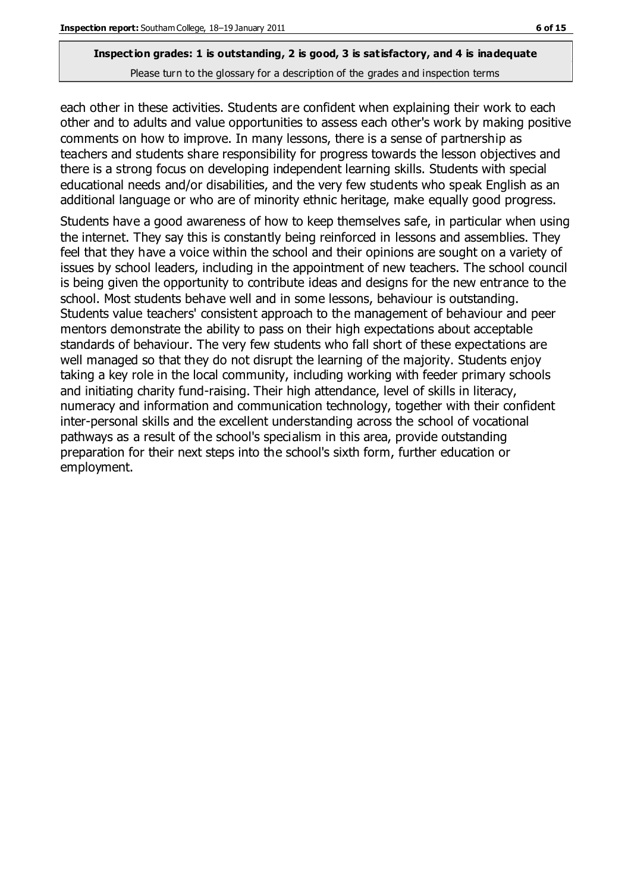each other in these activities. Students are confident when explaining their work to each other and to adults and value opportunities to assess each other's work by making positive comments on how to improve. In many lessons, there is a sense of partnership as teachers and students share responsibility for progress towards the lesson objectives and there is a strong focus on developing independent learning skills. Students with special educational needs and/or disabilities, and the very few students who speak English as an additional language or who are of minority ethnic heritage, make equally good progress.

Students have a good awareness of how to keep themselves safe, in particular when using the internet. They say this is constantly being reinforced in lessons and assemblies. They feel that they have a voice within the school and their opinions are sought on a variety of issues by school leaders, including in the appointment of new teachers. The school council is being given the opportunity to contribute ideas and designs for the new entrance to the school. Most students behave well and in some lessons, behaviour is outstanding. Students value teachers' consistent approach to the management of behaviour and peer mentors demonstrate the ability to pass on their high expectations about acceptable standards of behaviour. The very few students who fall short of these expectations are well managed so that they do not disrupt the learning of the majority. Students enjoy taking a key role in the local community, including working with feeder primary schools and initiating charity fund-raising. Their high attendance, level of skills in literacy, numeracy and information and communication technology, together with their confident inter-personal skills and the excellent understanding across the school of vocational pathways as a result of the school's specialism in this area, provide outstanding preparation for their next steps into the school's sixth form, further education or employment.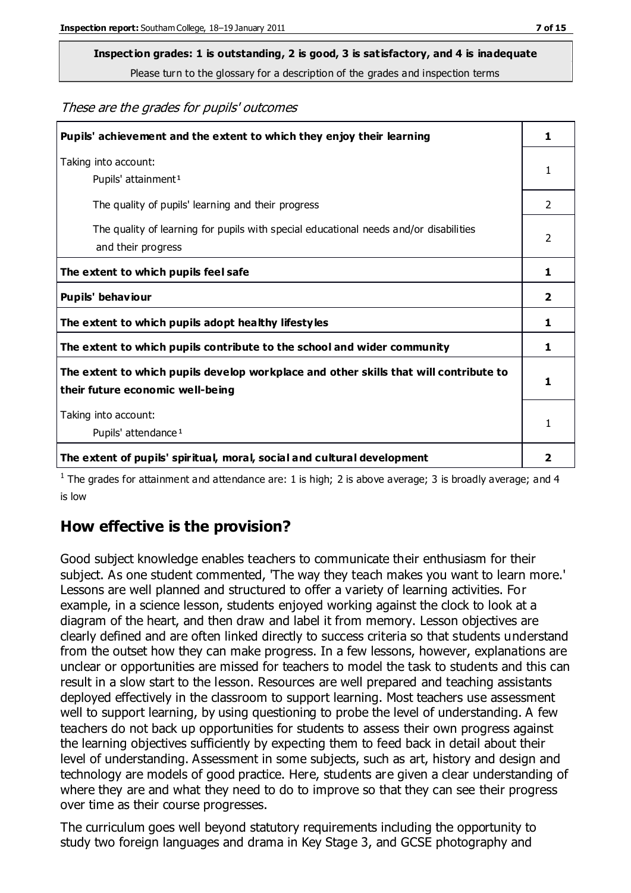## **Inspection grades: 1 is outstanding, 2 is good, 3 is satisfactory, and 4 is inadequate**

Please turn to the glossary for a description of the grades and inspection terms

These are the grades for pupils' outcomes

| Pupils' achievement and the extent to which they enjoy their learning                                                     |                |
|---------------------------------------------------------------------------------------------------------------------------|----------------|
| Taking into account:<br>Pupils' attainment <sup>1</sup>                                                                   |                |
| The quality of pupils' learning and their progress                                                                        | $\mathcal{P}$  |
| The quality of learning for pupils with special educational needs and/or disabilities<br>and their progress               | $\overline{2}$ |
| The extent to which pupils feel safe                                                                                      |                |
| Pupils' behaviour                                                                                                         |                |
| The extent to which pupils adopt healthy lifestyles                                                                       | 1              |
| The extent to which pupils contribute to the school and wider community                                                   | 1              |
| The extent to which pupils develop workplace and other skills that will contribute to<br>their future economic well-being |                |
| Taking into account:<br>Pupils' attendance <sup>1</sup>                                                                   |                |
| The extent of pupils' spiritual, moral, social and cultural development                                                   | 2              |

<sup>1</sup> The grades for attainment and attendance are: 1 is high; 2 is above average; 3 is broadly average; and 4 is low

### **How effective is the provision?**

Good subject knowledge enables teachers to communicate their enthusiasm for their subject. As one student commented, 'The way they teach makes you want to learn more.' Lessons are well planned and structured to offer a variety of learning activities. For example, in a science lesson, students enjoyed working against the clock to look at a diagram of the heart, and then draw and label it from memory. Lesson objectives are clearly defined and are often linked directly to success criteria so that students understand from the outset how they can make progress. In a few lessons, however, explanations are unclear or opportunities are missed for teachers to model the task to students and this can result in a slow start to the lesson. Resources are well prepared and teaching assistants deployed effectively in the classroom to support learning. Most teachers use assessment well to support learning, by using questioning to probe the level of understanding. A few teachers do not back up opportunities for students to assess their own progress against the learning objectives sufficiently by expecting them to feed back in detail about their level of understanding. Assessment in some subjects, such as art, history and design and technology are models of good practice. Here, students are given a clear understanding of where they are and what they need to do to improve so that they can see their progress over time as their course progresses.

The curriculum goes well beyond statutory requirements including the opportunity to study two foreign languages and drama in Key Stage 3, and GCSE photography and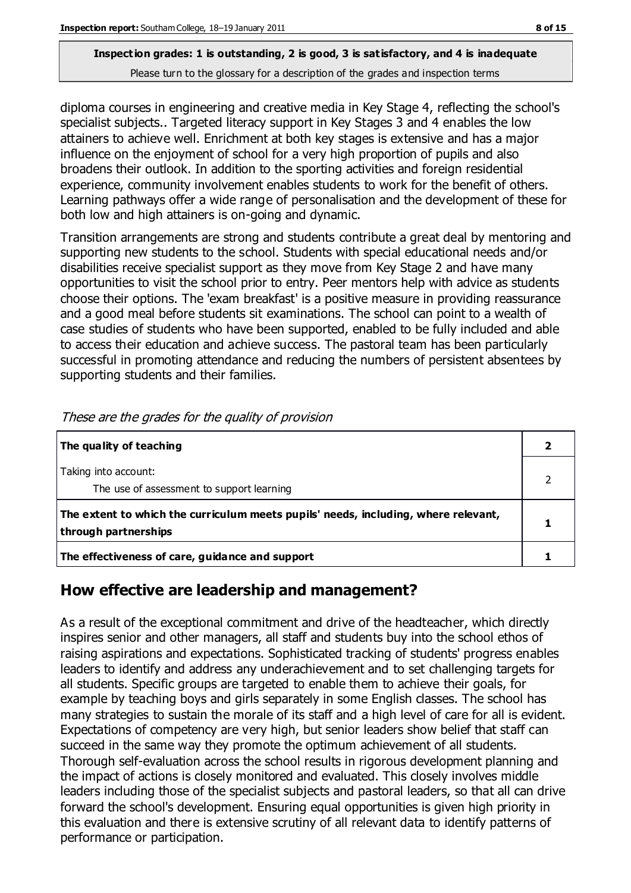## **Inspection grades: 1 is outstanding, 2 is good, 3 is satisfactory, and 4 is inadequate**

Please turn to the glossary for a description of the grades and inspection terms

diploma courses in engineering and creative media in Key Stage 4, reflecting the school's specialist subjects.. Targeted literacy support in Key Stages 3 and 4 enables the low attainers to achieve well. Enrichment at both key stages is extensive and has a major influence on the enjoyment of school for a very high proportion of pupils and also broadens their outlook. In addition to the sporting activities and foreign residential experience, community involvement enables students to work for the benefit of others. Learning pathways offer a wide range of personalisation and the development of these for both low and high attainers is on-going and dynamic.

Transition arrangements are strong and students contribute a great deal by mentoring and supporting new students to the school. Students with special educational needs and/or disabilities receive specialist support as they move from Key Stage 2 and have many opportunities to visit the school prior to entry. Peer mentors help with advice as students choose their options. The 'exam breakfast' is a positive measure in providing reassurance and a good meal before students sit examinations. The school can point to a wealth of case studies of students who have been supported, enabled to be fully included and able to access their education and achieve success. The pastoral team has been particularly successful in promoting attendance and reducing the numbers of persistent absentees by supporting students and their families.

| The quality of teaching                                                                                    |  |
|------------------------------------------------------------------------------------------------------------|--|
| Taking into account:<br>The use of assessment to support learning                                          |  |
| The extent to which the curriculum meets pupils' needs, including, where relevant,<br>through partnerships |  |
| The effectiveness of care, guidance and support                                                            |  |

These are the grades for the quality of provision

#### **How effective are leadership and management?**

As a result of the exceptional commitment and drive of the headteacher, which directly inspires senior and other managers, all staff and students buy into the school ethos of raising aspirations and expectations. Sophisticated tracking of students' progress enables leaders to identify and address any underachievement and to set challenging targets for all students. Specific groups are targeted to enable them to achieve their goals, for example by teaching boys and girls separately in some English classes. The school has many strategies to sustain the morale of its staff and a high level of care for all is evident. Expectations of competency are very high, but senior leaders show belief that staff can succeed in the same way they promote the optimum achievement of all students. Thorough self-evaluation across the school results in rigorous development planning and the impact of actions is closely monitored and evaluated. This closely involves middle leaders including those of the specialist subjects and pastoral leaders, so that all can drive forward the school's development. Ensuring equal opportunities is given high priority in this evaluation and there is extensive scrutiny of all relevant data to identify patterns of performance or participation.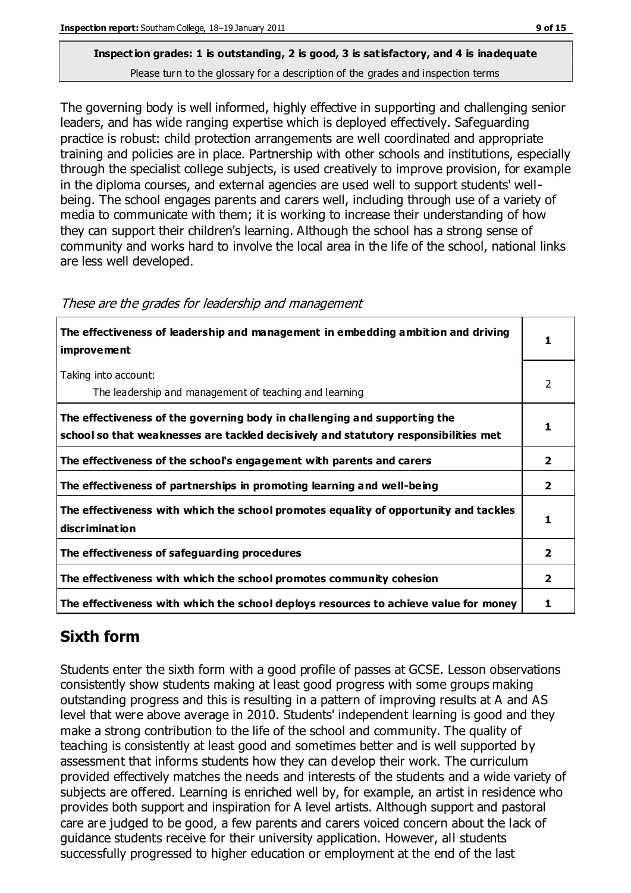The governing body is well informed, highly effective in supporting and challenging senior leaders, and has wide ranging expertise which is deployed effectively. Safeguarding practice is robust: child protection arrangements are well coordinated and appropriate training and policies are in place. Partnership with other schools and institutions, especially through the specialist college subjects, is used creatively to improve provision, for example in the diploma courses, and external agencies are used well to support students' wellbeing. The school engages parents and carers well, including through use of a variety of media to communicate with them; it is working to increase their understanding of how they can support their children's learning. Although the school has a strong sense of community and works hard to involve the local area in the life of the school, national links are less well developed.

| The effectiveness of leadership and management in embedding ambition and driving<br>improvement                                                                  |                |
|------------------------------------------------------------------------------------------------------------------------------------------------------------------|----------------|
| Taking into account:<br>The leadership and management of teaching and learning                                                                                   | 2              |
| The effectiveness of the governing body in challenging and supporting the<br>school so that weaknesses are tackled decisively and statutory responsibilities met |                |
| The effectiveness of the school's engagement with parents and carers                                                                                             | 2              |
| The effectiveness of partnerships in promoting learning and well-being                                                                                           | 2              |
| The effectiveness with which the school promotes equality of opportunity and tackles<br>discrimination                                                           |                |
| The effectiveness of safeguarding procedures                                                                                                                     | $\overline{2}$ |
| The effectiveness with which the school promotes community cohesion                                                                                              | 2              |
| The effectiveness with which the school deploys resources to achieve value for money                                                                             |                |

#### These are the grades for leadership and management

## **Sixth form**

Students enter the sixth form with a good profile of passes at GCSE. Lesson observations consistently show students making at least good progress with some groups making outstanding progress and this is resulting in a pattern of improving results at A and AS level that were above average in 2010. Students' independent learning is good and they make a strong contribution to the life of the school and community. The quality of teaching is consistently at least good and sometimes better and is well supported by assessment that informs students how they can develop their work. The curriculum provided effectively matches the needs and interests of the students and a wide variety of subjects are offered. Learning is enriched well by, for example, an artist in residence who provides both support and inspiration for A level artists. Although support and pastoral care are judged to be good, a few parents and carers voiced concern about the lack of guidance students receive for their university application. However, all students successfully progressed to higher education or employment at the end of the last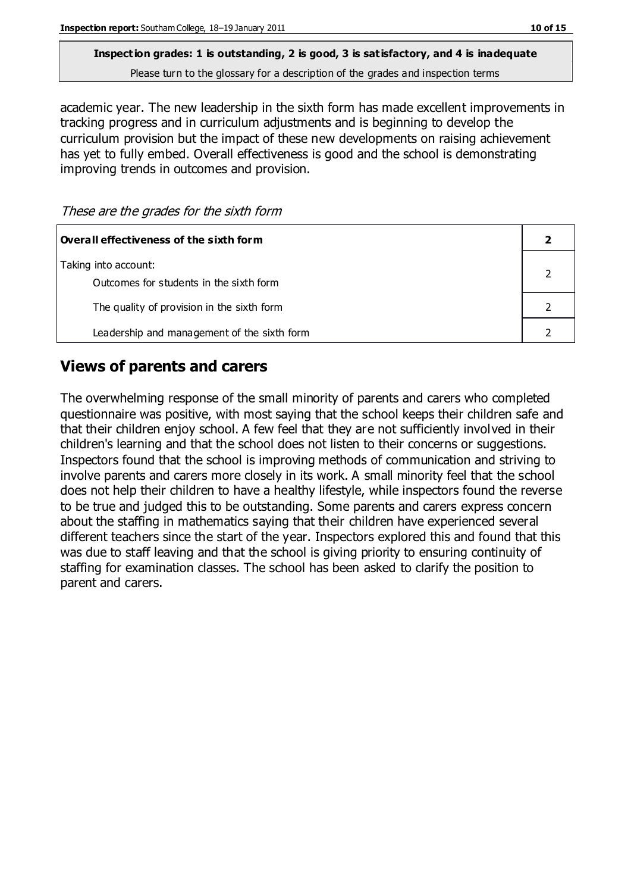## **Inspection grades: 1 is outstanding, 2 is good, 3 is satisfactory, and 4 is inadequate**

Please turn to the glossary for a description of the grades and inspection terms

academic year. The new leadership in the sixth form has made excellent improvements in tracking progress and in curriculum adjustments and is beginning to develop the curriculum provision but the impact of these new developments on raising achievement has yet to fully embed. Overall effectiveness is good and the school is demonstrating improving trends in outcomes and provision.

These are the grades for the sixth form

| Overall effectiveness of the sixth form                         |  |
|-----------------------------------------------------------------|--|
| Taking into account:<br>Outcomes for students in the sixth form |  |
| The quality of provision in the sixth form                      |  |
| Leadership and management of the sixth form                     |  |

### **Views of parents and carers**

The overwhelming response of the small minority of parents and carers who completed questionnaire was positive, with most saying that the school keeps their children safe and that their children enjoy school. A few feel that they are not sufficiently involved in their children's learning and that the school does not listen to their concerns or suggestions. Inspectors found that the school is improving methods of communication and striving to involve parents and carers more closely in its work. A small minority feel that the school does not help their children to have a healthy lifestyle, while inspectors found the reverse to be true and judged this to be outstanding. Some parents and carers express concern about the staffing in mathematics saying that their children have experienced several different teachers since the start of the year. Inspectors explored this and found that this was due to staff leaving and that the school is giving priority to ensuring continuity of staffing for examination classes. The school has been asked to clarify the position to parent and carers.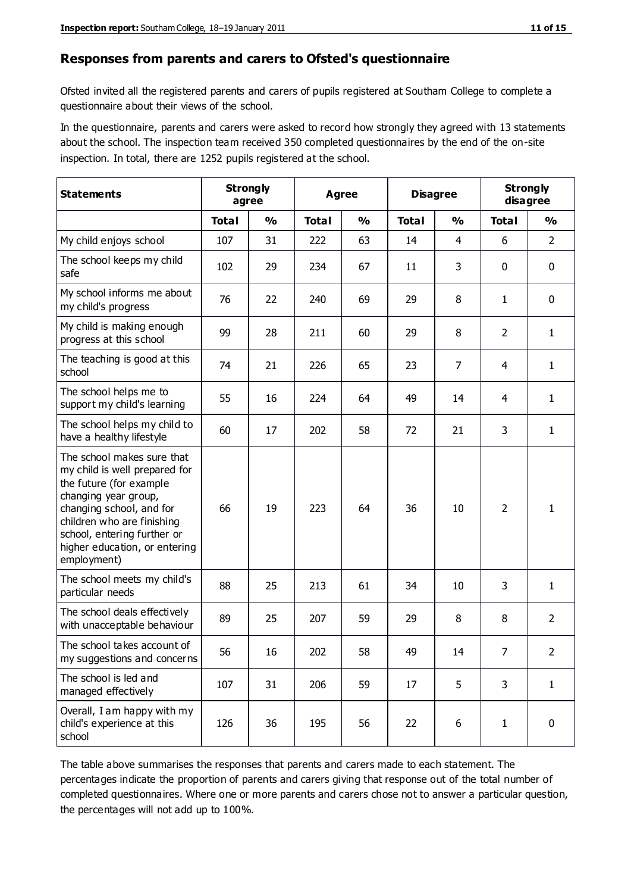#### **Responses from parents and carers to Ofsted's questionnaire**

Ofsted invited all the registered parents and carers of pupils registered at Southam College to complete a questionnaire about their views of the school.

In the questionnaire, parents and carers were asked to record how strongly they agreed with 13 statements about the school. The inspection team received 350 completed questionnaires by the end of the on-site inspection. In total, there are 1252 pupils registered at the school.

| <b>Statements</b>                                                                                                                                                                                                                                       | <b>Strongly</b><br>agree |               | Agree        |               | <b>Disagree</b> |                | <b>Strongly</b><br>disagree |                |
|---------------------------------------------------------------------------------------------------------------------------------------------------------------------------------------------------------------------------------------------------------|--------------------------|---------------|--------------|---------------|-----------------|----------------|-----------------------------|----------------|
|                                                                                                                                                                                                                                                         | <b>Total</b>             | $\frac{1}{2}$ | <b>Total</b> | $\frac{1}{2}$ | <b>Total</b>    | $\frac{0}{0}$  | <b>Total</b>                | %              |
| My child enjoys school                                                                                                                                                                                                                                  | 107                      | 31            | 222          | 63            | 14              | $\overline{4}$ | 6                           | $\overline{2}$ |
| The school keeps my child<br>safe                                                                                                                                                                                                                       | 102                      | 29            | 234          | 67            | 11              | 3              | 0                           | $\mathbf 0$    |
| My school informs me about<br>my child's progress                                                                                                                                                                                                       | 76                       | 22            | 240          | 69            | 29              | 8              | $\mathbf{1}$                | $\mathbf 0$    |
| My child is making enough<br>progress at this school                                                                                                                                                                                                    | 99                       | 28            | 211          | 60            | 29              | 8              | $\overline{2}$              | $\mathbf{1}$   |
| The teaching is good at this<br>school                                                                                                                                                                                                                  | 74                       | 21            | 226          | 65            | 23              | $\overline{7}$ | 4                           | $\mathbf{1}$   |
| The school helps me to<br>support my child's learning                                                                                                                                                                                                   | 55                       | 16            | 224          | 64            | 49              | 14             | 4                           | $\mathbf{1}$   |
| The school helps my child to<br>have a healthy lifestyle                                                                                                                                                                                                | 60                       | 17            | 202          | 58            | 72              | 21             | 3                           | $\mathbf{1}$   |
| The school makes sure that<br>my child is well prepared for<br>the future (for example<br>changing year group,<br>changing school, and for<br>children who are finishing<br>school, entering further or<br>higher education, or entering<br>employment) | 66                       | 19            | 223          | 64            | 36              | 10             | $\overline{2}$              | 1              |
| The school meets my child's<br>particular needs                                                                                                                                                                                                         | 88                       | 25            | 213          | 61            | 34              | 10             | 3                           | 1              |
| The school deals effectively<br>with unacceptable behaviour                                                                                                                                                                                             | 89                       | 25            | 207          | 59            | 29              | 8              | 8                           | $\overline{2}$ |
| The school takes account of<br>my suggestions and concerns                                                                                                                                                                                              | 56                       | 16            | 202          | 58            | 49              | 14             | $\overline{7}$              | $\overline{2}$ |
| The school is led and<br>managed effectively                                                                                                                                                                                                            | 107                      | 31            | 206          | 59            | 17              | 5              | 3                           | $\mathbf{1}$   |
| Overall, I am happy with my<br>child's experience at this<br>school                                                                                                                                                                                     | 126                      | 36            | 195          | 56            | 22              | 6              | $\mathbf{1}$                | $\mathbf 0$    |

The table above summarises the responses that parents and carers made to each statement. The percentages indicate the proportion of parents and carers giving that response out of the total number of completed questionnaires. Where one or more parents and carers chose not to answer a particular question, the percentages will not add up to 100%.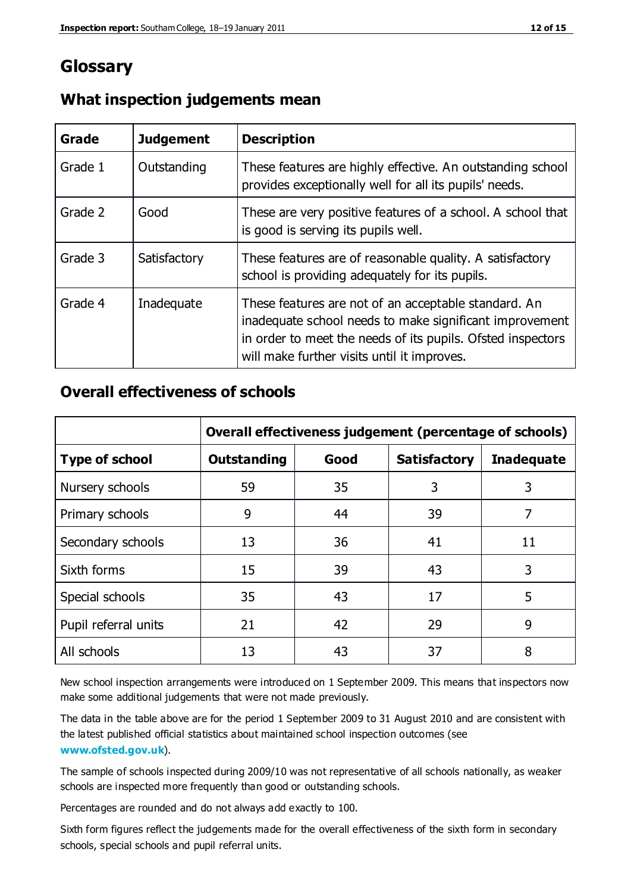## **Glossary**

| Grade   | <b>Judgement</b> | <b>Description</b>                                                                                                                                                                                                            |
|---------|------------------|-------------------------------------------------------------------------------------------------------------------------------------------------------------------------------------------------------------------------------|
| Grade 1 | Outstanding      | These features are highly effective. An outstanding school<br>provides exceptionally well for all its pupils' needs.                                                                                                          |
| Grade 2 | Good             | These are very positive features of a school. A school that<br>is good is serving its pupils well.                                                                                                                            |
| Grade 3 | Satisfactory     | These features are of reasonable quality. A satisfactory<br>school is providing adequately for its pupils.                                                                                                                    |
| Grade 4 | Inadequate       | These features are not of an acceptable standard. An<br>inadequate school needs to make significant improvement<br>in order to meet the needs of its pupils. Ofsted inspectors<br>will make further visits until it improves. |

#### **What inspection judgements mean**

#### **Overall effectiveness of schools**

|                       | Overall effectiveness judgement (percentage of schools) |      |                     |                   |
|-----------------------|---------------------------------------------------------|------|---------------------|-------------------|
| <b>Type of school</b> | <b>Outstanding</b>                                      | Good | <b>Satisfactory</b> | <b>Inadequate</b> |
| Nursery schools       | 59                                                      | 35   | 3                   | 3                 |
| Primary schools       | 9                                                       | 44   | 39                  | 7                 |
| Secondary schools     | 13                                                      | 36   | 41                  | 11                |
| Sixth forms           | 15                                                      | 39   | 43                  | 3                 |
| Special schools       | 35                                                      | 43   | 17                  | 5                 |
| Pupil referral units  | 21                                                      | 42   | 29                  | 9                 |
| All schools           | 13                                                      | 43   | 37                  | 8                 |

New school inspection arrangements were introduced on 1 September 2009. This means that inspectors now make some additional judgements that were not made previously.

The data in the table above are for the period 1 September 2009 to 31 August 2010 and are consistent with the latest published official statistics about maintained school inspection outcomes (see **[www.ofsted.gov.uk](http://www.ofsted.gov.uk/)**).

The sample of schools inspected during 2009/10 was not representative of all schools nationally, as weaker schools are inspected more frequently than good or outstanding schools.

Percentages are rounded and do not always add exactly to 100.

Sixth form figures reflect the judgements made for the overall effectiveness of the sixth form in secondary schools, special schools and pupil referral units.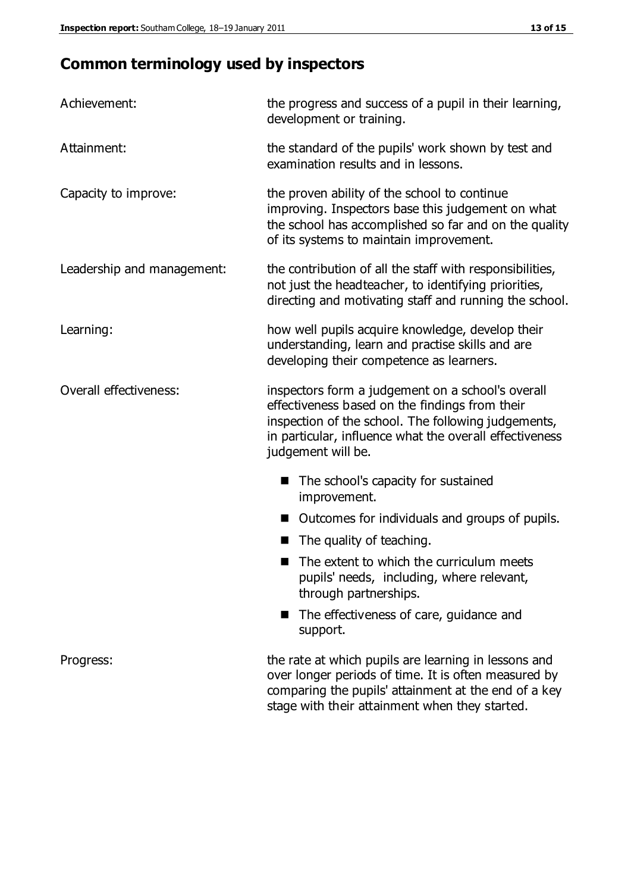## **Common terminology used by inspectors**

| Achievement:               | the progress and success of a pupil in their learning,<br>development or training.                                                                                                                                                          |  |  |
|----------------------------|---------------------------------------------------------------------------------------------------------------------------------------------------------------------------------------------------------------------------------------------|--|--|
| Attainment:                | the standard of the pupils' work shown by test and<br>examination results and in lessons.                                                                                                                                                   |  |  |
| Capacity to improve:       | the proven ability of the school to continue<br>improving. Inspectors base this judgement on what<br>the school has accomplished so far and on the quality<br>of its systems to maintain improvement.                                       |  |  |
| Leadership and management: | the contribution of all the staff with responsibilities,<br>not just the headteacher, to identifying priorities,<br>directing and motivating staff and running the school.                                                                  |  |  |
| Learning:                  | how well pupils acquire knowledge, develop their<br>understanding, learn and practise skills and are<br>developing their competence as learners.                                                                                            |  |  |
| Overall effectiveness:     | inspectors form a judgement on a school's overall<br>effectiveness based on the findings from their<br>inspection of the school. The following judgements,<br>in particular, influence what the overall effectiveness<br>judgement will be. |  |  |
|                            | The school's capacity for sustained<br>improvement.                                                                                                                                                                                         |  |  |
|                            | Outcomes for individuals and groups of pupils.                                                                                                                                                                                              |  |  |
|                            | The quality of teaching.                                                                                                                                                                                                                    |  |  |
|                            | The extent to which the curriculum meets<br>pupils' needs, including, where relevant,<br>through partnerships.                                                                                                                              |  |  |
|                            | The effectiveness of care, guidance and<br>support.                                                                                                                                                                                         |  |  |
| Progress:                  | the rate at which pupils are learning in lessons and<br>over longer periods of time. It is often measured by<br>comparing the pupils' attainment at the end of a key                                                                        |  |  |

stage with their attainment when they started.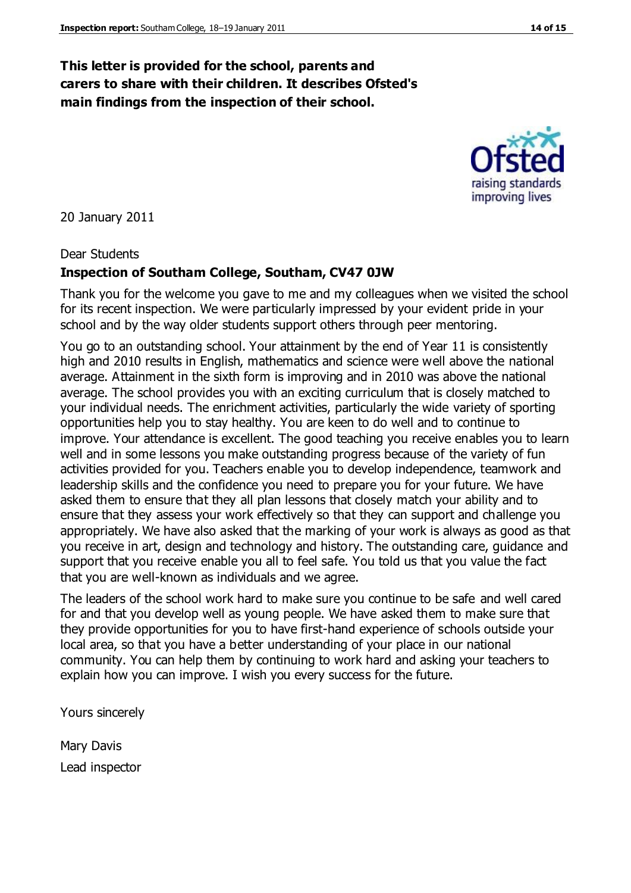#### **This letter is provided for the school, parents and carers to share with their children. It describes Ofsted's main findings from the inspection of their school.**

20 January 2011

#### Dear Students

#### **Inspection of Southam College, Southam, CV47 0JW**

Thank you for the welcome you gave to me and my colleagues when we visited the school for its recent inspection. We were particularly impressed by your evident pride in your school and by the way older students support others through peer mentoring.

You go to an outstanding school. Your attainment by the end of Year 11 is consistently high and 2010 results in English, mathematics and science were well above the national average. Attainment in the sixth form is improving and in 2010 was above the national average. The school provides you with an exciting curriculum that is closely matched to your individual needs. The enrichment activities, particularly the wide variety of sporting opportunities help you to stay healthy. You are keen to do well and to continue to improve. Your attendance is excellent. The good teaching you receive enables you to learn well and in some lessons you make outstanding progress because of the variety of fun activities provided for you. Teachers enable you to develop independence, teamwork and leadership skills and the confidence you need to prepare you for your future. We have asked them to ensure that they all plan lessons that closely match your ability and to ensure that they assess your work effectively so that they can support and challenge you appropriately. We have also asked that the marking of your work is always as good as that you receive in art, design and technology and history. The outstanding care, guidance and support that you receive enable you all to feel safe. You told us that you value the fact that you are well-known as individuals and we agree.

The leaders of the school work hard to make sure you continue to be safe and well cared for and that you develop well as young people. We have asked them to make sure that they provide opportunities for you to have first-hand experience of schools outside your local area, so that you have a better understanding of your place in our national community. You can help them by continuing to work hard and asking your teachers to explain how you can improve. I wish you every success for the future.

Yours sincerely

Mary Davis Lead inspector